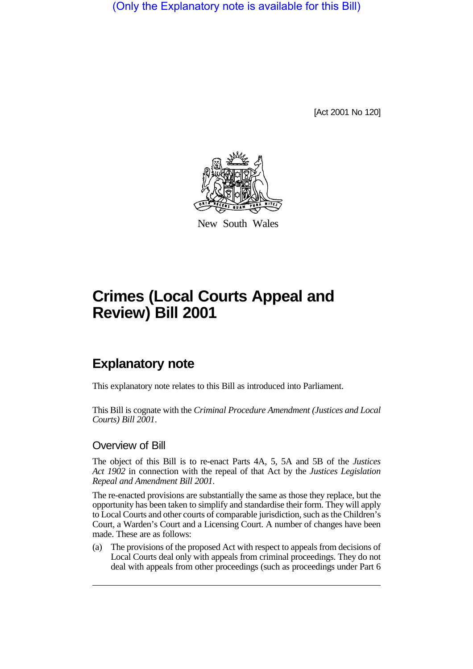(Only the Explanatory note is available for this Bill)

[Act 2001 No 120]



New South Wales

# **Crimes (Local Courts Appeal and Review) Bill 2001**

# **Explanatory note**

This explanatory note relates to this Bill as introduced into Parliament.

This Bill is cognate with the *Criminal Procedure Amendment (Justices and Local Courts) Bill 2001*.

#### Overview of Bill

The object of this Bill is to re-enact Parts 4A, 5, 5A and 5B of the *Justices Act 1902* in connection with the repeal of that Act by the *Justices Legislation Repeal and Amendment Bill 2001*.

The re-enacted provisions are substantially the same as those they replace, but the opportunity has been taken to simplify and standardise their form. They will apply to Local Courts and other courts of comparable jurisdiction, such as the Children's Court, a Warden's Court and a Licensing Court. A number of changes have been made. These are as follows:

(a) The provisions of the proposed Act with respect to appeals from decisions of Local Courts deal only with appeals from criminal proceedings. They do not deal with appeals from other proceedings (such as proceedings under Part 6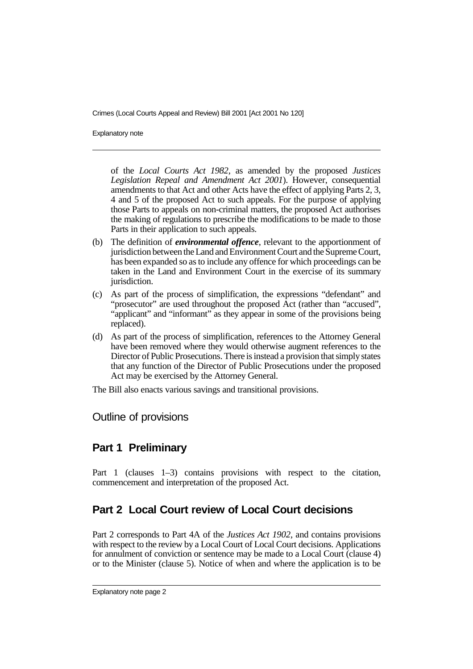Explanatory note

of the *Local Courts Act 1982*, as amended by the proposed *Justices Legislation Repeal and Amendment Act 2001*). However, consequential amendments to that Act and other Acts have the effect of applying Parts 2, 3, 4 and 5 of the proposed Act to such appeals. For the purpose of applying those Parts to appeals on non-criminal matters, the proposed Act authorises the making of regulations to prescribe the modifications to be made to those Parts in their application to such appeals.

- (b) The definition of *environmental offence*, relevant to the apportionment of jurisdiction between the Land and Environment Court and the Supreme Court, has been expanded so as to include any offence for which proceedings can be taken in the Land and Environment Court in the exercise of its summary jurisdiction.
- (c) As part of the process of simplification, the expressions "defendant" and "prosecutor" are used throughout the proposed Act (rather than "accused", "applicant" and "informant" as they appear in some of the provisions being replaced).
- (d) As part of the process of simplification, references to the Attorney General have been removed where they would otherwise augment references to the Director of Public Prosecutions. There is instead a provision that simply states that any function of the Director of Public Prosecutions under the proposed Act may be exercised by the Attorney General.

The Bill also enacts various savings and transitional provisions.

Outline of provisions

## **Part 1 Preliminary**

Part 1 (clauses 1–3) contains provisions with respect to the citation, commencement and interpretation of the proposed Act.

# **Part 2 Local Court review of Local Court decisions**

Part 2 corresponds to Part 4A of the *Justices Act 1902*, and contains provisions with respect to the review by a Local Court of Local Court decisions. Applications for annulment of conviction or sentence may be made to a Local Court (clause 4) or to the Minister (clause 5). Notice of when and where the application is to be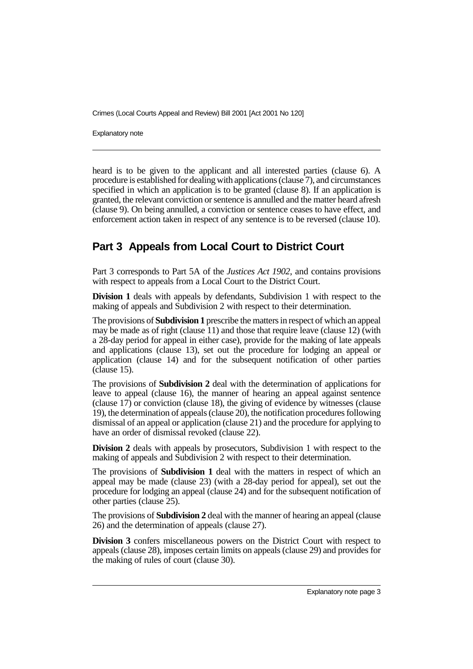Explanatory note

heard is to be given to the applicant and all interested parties (clause 6). A procedure is established for dealing with applications (clause 7), and circumstances specified in which an application is to be granted (clause 8). If an application is granted, the relevant conviction or sentence is annulled and the matter heard afresh (clause 9). On being annulled, a conviction or sentence ceases to have effect, and enforcement action taken in respect of any sentence is to be reversed (clause 10).

## **Part 3 Appeals from Local Court to District Court**

Part 3 corresponds to Part 5A of the *Justices Act 1902*, and contains provisions with respect to appeals from a Local Court to the District Court.

**Division 1** deals with appeals by defendants, Subdivision 1 with respect to the making of appeals and Subdivision 2 with respect to their determination.

The provisions of **Subdivision 1** prescribe the matters in respect of which an appeal may be made as of right (clause 11) and those that require leave (clause 12) (with a 28-day period for appeal in either case), provide for the making of late appeals and applications (clause 13), set out the procedure for lodging an appeal or application (clause 14) and for the subsequent notification of other parties (clause 15).

The provisions of **Subdivision 2** deal with the determination of applications for leave to appeal (clause 16), the manner of hearing an appeal against sentence (clause 17) or conviction (clause 18), the giving of evidence by witnesses (clause 19), the determination of appeals (clause 20), the notification procedures following dismissal of an appeal or application (clause 21) and the procedure for applying to have an order of dismissal revoked (clause 22).

**Division 2** deals with appeals by prosecutors, Subdivision 1 with respect to the making of appeals and Subdivision 2 with respect to their determination.

The provisions of **Subdivision 1** deal with the matters in respect of which an appeal may be made (clause 23) (with a 28-day period for appeal), set out the procedure for lodging an appeal (clause 24) and for the subsequent notification of other parties (clause 25).

The provisions of **Subdivision 2** deal with the manner of hearing an appeal (clause 26) and the determination of appeals (clause 27).

**Division 3** confers miscellaneous powers on the District Court with respect to appeals (clause 28), imposes certain limits on appeals (clause 29) and provides for the making of rules of court (clause 30).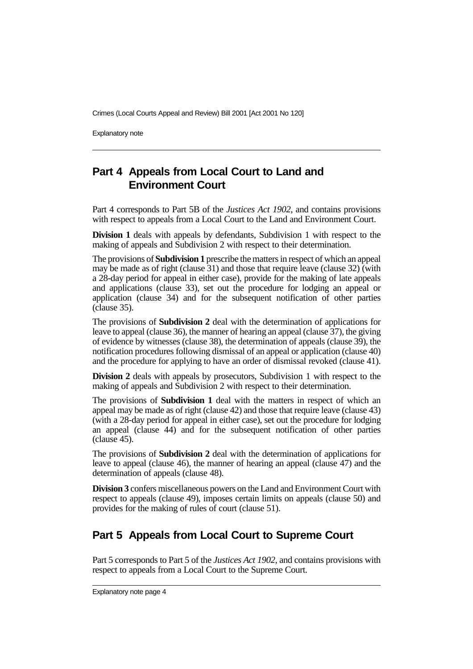Explanatory note

# **Part 4 Appeals from Local Court to Land and Environment Court**

Part 4 corresponds to Part 5B of the *Justices Act 1902*, and contains provisions with respect to appeals from a Local Court to the Land and Environment Court.

**Division 1** deals with appeals by defendants, Subdivision 1 with respect to the making of appeals and Subdivision 2 with respect to their determination.

The provisions of **Subdivision 1** prescribe the matters in respect of which an appeal may be made as of right (clause 31) and those that require leave (clause 32) (with a 28-day period for appeal in either case), provide for the making of late appeals and applications (clause 33), set out the procedure for lodging an appeal or application (clause 34) and for the subsequent notification of other parties (clause 35).

The provisions of **Subdivision 2** deal with the determination of applications for leave to appeal (clause 36), the manner of hearing an appeal (clause 37), the giving of evidence by witnesses (clause 38), the determination of appeals (clause 39), the notification procedures following dismissal of an appeal or application (clause 40) and the procedure for applying to have an order of dismissal revoked (clause 41).

**Division 2** deals with appeals by prosecutors, Subdivision 1 with respect to the making of appeals and Subdivision 2 with respect to their determination.

The provisions of **Subdivision 1** deal with the matters in respect of which an appeal may be made as of right (clause 42) and those that require leave (clause 43) (with a 28-day period for appeal in either case), set out the procedure for lodging an appeal (clause 44) and for the subsequent notification of other parties (clause 45).

The provisions of **Subdivision 2** deal with the determination of applications for leave to appeal (clause 46), the manner of hearing an appeal (clause 47) and the determination of appeals (clause 48).

**Division 3** confers miscellaneous powers on the Land and Environment Court with respect to appeals (clause 49), imposes certain limits on appeals (clause 50) and provides for the making of rules of court (clause 51).

## **Part 5 Appeals from Local Court to Supreme Court**

Part 5 corresponds to Part 5 of the *Justices Act 1902*, and contains provisions with respect to appeals from a Local Court to the Supreme Court.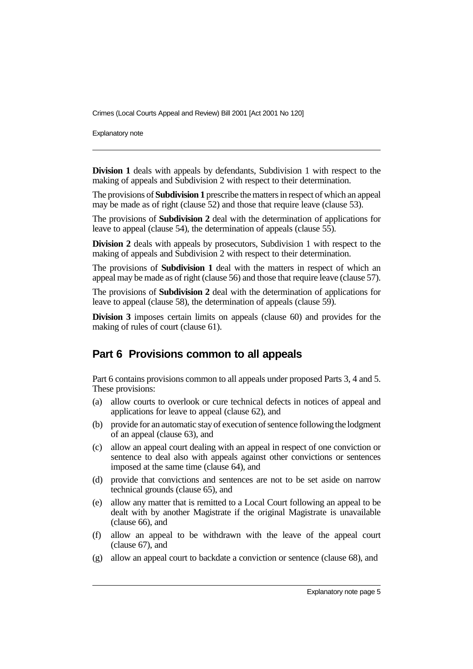Explanatory note

**Division 1** deals with appeals by defendants, Subdivision 1 with respect to the making of appeals and Subdivision 2 with respect to their determination.

The provisions of **Subdivision 1** prescribe the matters in respect of which an appeal may be made as of right (clause 52) and those that require leave (clause 53).

The provisions of **Subdivision 2** deal with the determination of applications for leave to appeal (clause 54), the determination of appeals (clause 55).

**Division 2** deals with appeals by prosecutors, Subdivision 1 with respect to the making of appeals and Subdivision 2 with respect to their determination.

The provisions of **Subdivision 1** deal with the matters in respect of which an appeal may be made as of right (clause 56) and those that require leave (clause 57).

The provisions of **Subdivision 2** deal with the determination of applications for leave to appeal (clause 58), the determination of appeals (clause 59).

**Division 3** imposes certain limits on appeals (clause 60) and provides for the making of rules of court (clause 61).

#### **Part 6 Provisions common to all appeals**

Part 6 contains provisions common to all appeals under proposed Parts 3, 4 and 5. These provisions:

- (a) allow courts to overlook or cure technical defects in notices of appeal and applications for leave to appeal (clause 62), and
- (b) provide for an automatic stay of execution of sentence following the lodgment of an appeal (clause 63), and
- (c) allow an appeal court dealing with an appeal in respect of one conviction or sentence to deal also with appeals against other convictions or sentences imposed at the same time (clause 64), and
- (d) provide that convictions and sentences are not to be set aside on narrow technical grounds (clause 65), and
- (e) allow any matter that is remitted to a Local Court following an appeal to be dealt with by another Magistrate if the original Magistrate is unavailable (clause 66), and
- (f) allow an appeal to be withdrawn with the leave of the appeal court (clause 67), and
- (g) allow an appeal court to backdate a conviction or sentence (clause 68), and